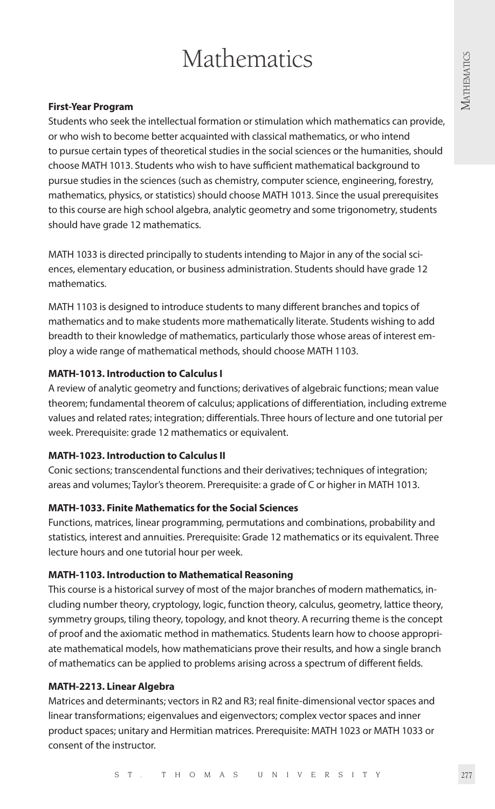# **Mathematics**

#### **First-Year Program**

Students who seek the intellectual formation or stimulation which mathematics can provide, or who wish to become better acquainted with classical mathematics, or who intend to pursue certain types of theoretical studies in the social sciences or the humanities, should choose MATH 1013. Students who wish to have sufficient mathematical background to pursue studies in the sciences (such as chemistry, computer science, engineering, forestry, mathematics, physics, or statistics) should choose MATH 1013. Since the usual prerequisites to this course are high school algebra, analytic geometry and some trigonometry, students should have grade 12 mathematics.

MATH 1033 is directed principally to students intending to Major in any of the social sciences, elementary education, or business administration. Students should have grade 12 mathematics.

MATH 1103 is designed to introduce students to many different branches and topics of mathematics and to make students more mathematically literate. Students wishing to add breadth to their knowledge of mathematics, particularly those whose areas of interest employ a wide range of mathematical methods, should choose MATH 1103.

### **MATH-1013. Introduction to Calculus I**

A review of analytic geometry and functions; derivatives of algebraic functions; mean value theorem; fundamental theorem of calculus; applications of differentiation, including extreme values and related rates; integration; differentials. Three hours of lecture and one tutorial per week. Prerequisite: grade 12 mathematics or equivalent.

#### **MATH-1023. Introduction to Calculus II**

Conic sections; transcendental functions and their derivatives; techniques of integration; areas and volumes; Taylor's theorem. Prerequisite: a grade of C or higher in MATH 1013.

# **MATH-1033. Finite Mathematics for the Social Sciences**

Functions, matrices, linear programming, permutations and combinations, probability and statistics, interest and annuities. Prerequisite: Grade 12 mathematics or its equivalent. Three lecture hours and one tutorial hour per week.

# **MATH-1103. Introduction to Mathematical Reasoning**

This course is a historical survey of most of the major branches of modern mathematics, including number theory, cryptology, logic, function theory, calculus, geometry, lattice theory, symmetry groups, tiling theory, topology, and knot theory. A recurring theme is the concept of proof and the axiomatic method in mathematics. Students learn how to choose appropriate mathematical models, how mathematicians prove their results, and how a single branch of mathematics can be applied to problems arising across a spectrum of different fields.

#### **MATH-2213. Linear Algebra**

Matrices and determinants; vectors in R2 and R3; real finite-dimensional vector spaces and linear transformations; eigenvalues and eigenvectors; complex vector spaces and inner product spaces; unitary and Hermitian matrices. Prerequisite: MATH 1023 or MATH 1033 or consent of the instructor.